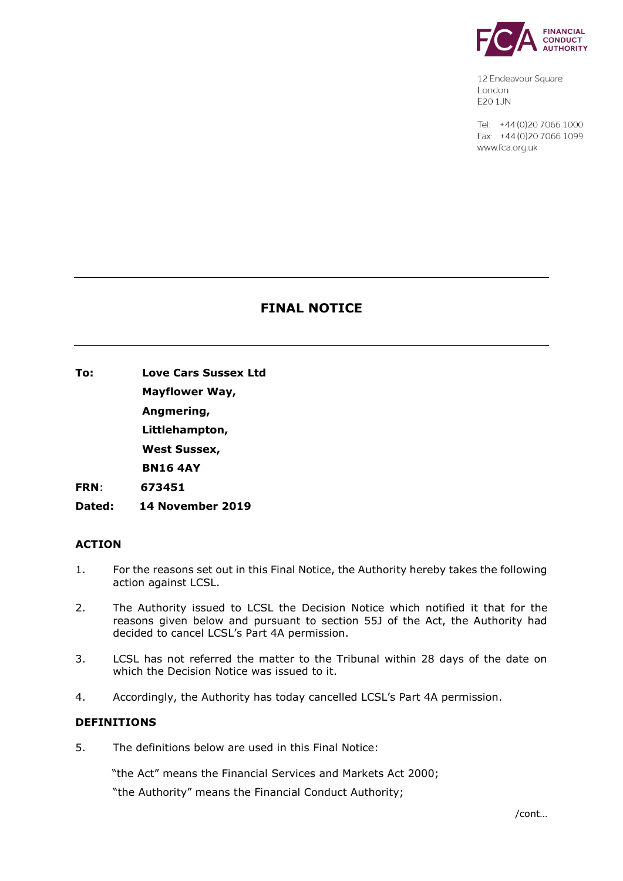

12 Endeavour Square London E201JN

Tel: +44 (0) 20 7066 1000 Fax: +44 (0) 20 7066 1099 www.fca.org.uk

# **FINAL NOTICE**

**To: Love Cars Sussex Ltd**

**Mayflower Way,**

**Angmering,**

**Littlehampton,**

**West Sussex,**

**BN16 4AY** 

**FRN**: **673451**

**Dated: 14 November 2019**

## **ACTION**

- 1. For the reasons set out in this Final Notice, the Authority hereby takes the following action against LCSL.
- 2. The Authority issued to LCSL the Decision Notice which notified it that for the reasons given below and pursuant to section 55J of the Act, the Authority had decided to cancel LCSL's Part 4A permission.
- 3. LCSL has not referred the matter to the Tribunal within 28 days of the date on which the Decision Notice was issued to it.
- 4. Accordingly, the Authority has today cancelled LCSL's Part 4A permission.

## **DEFINITIONS**

5. The definitions below are used in this Final Notice:

"the Act" means the Financial Services and Markets Act 2000;

"the Authority" means the Financial Conduct Authority;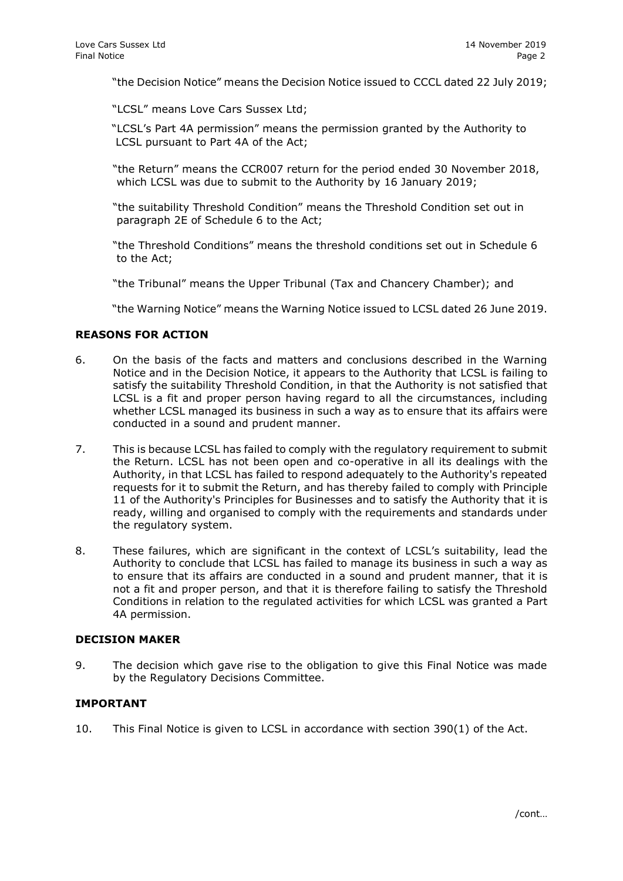"the Decision Notice" means the Decision Notice issued to CCCL dated 22 July 2019;

"LCSL" means Love Cars Sussex Ltd;

- "LCSL's Part 4A permission" means the permission granted by the Authority to LCSL pursuant to Part 4A of the Act;
- "the Return" means the CCR007 return for the period ended 30 November 2018, which LCSL was due to submit to the Authority by 16 January 2019;
- "the suitability Threshold Condition" means the Threshold Condition set out in paragraph 2E of Schedule 6 to the Act;
- "the Threshold Conditions" means the threshold conditions set out in Schedule 6 to the Act;
- "the Tribunal" means the Upper Tribunal (Tax and Chancery Chamber); and

"the Warning Notice" means the Warning Notice issued to LCSL dated 26 June 2019.

### **REASONS FOR ACTION**

- 6. On the basis of the facts and matters and conclusions described in the Warning Notice and in the Decision Notice, it appears to the Authority that LCSL is failing to satisfy the suitability Threshold Condition, in that the Authority is not satisfied that LCSL is a fit and proper person having regard to all the circumstances, including whether LCSL managed its business in such a way as to ensure that its affairs were conducted in a sound and prudent manner.
- 7. This is because LCSL has failed to comply with the regulatory requirement to submit the Return. LCSL has not been open and co-operative in all its dealings with the Authority, in that LCSL has failed to respond adequately to the Authority's repeated requests for it to submit the Return, and has thereby failed to comply with Principle 11 of the Authority's Principles for Businesses and to satisfy the Authority that it is ready, willing and organised to comply with the requirements and standards under the regulatory system.
- 8. These failures, which are significant in the context of LCSL's suitability, lead the Authority to conclude that LCSL has failed to manage its business in such a way as to ensure that its affairs are conducted in a sound and prudent manner, that it is not a fit and proper person, and that it is therefore failing to satisfy the Threshold Conditions in relation to the regulated activities for which LCSL was granted a Part 4A permission.

### **DECISION MAKER**

9. The decision which gave rise to the obligation to give this Final Notice was made by the Regulatory Decisions Committee.

#### **IMPORTANT**

10. This Final Notice is given to LCSL in accordance with section 390(1) of the Act.